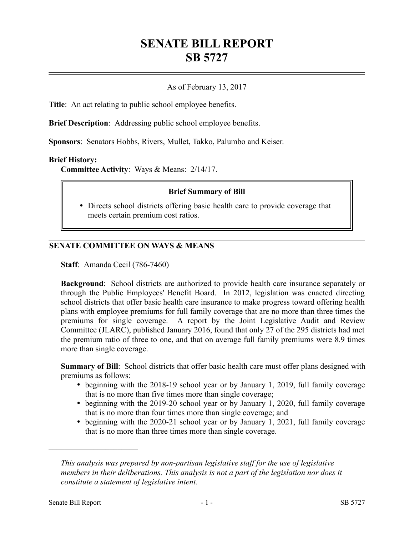# **SENATE BILL REPORT SB 5727**

## As of February 13, 2017

**Title**: An act relating to public school employee benefits.

**Brief Description**: Addressing public school employee benefits.

**Sponsors**: Senators Hobbs, Rivers, Mullet, Takko, Palumbo and Keiser.

#### **Brief History:**

**Committee Activity**: Ways & Means: 2/14/17.

### **Brief Summary of Bill**

 Directs school districts offering basic health care to provide coverage that meets certain premium cost ratios.

## **SENATE COMMITTEE ON WAYS & MEANS**

**Staff**: Amanda Cecil (786-7460)

**Background**: School districts are authorized to provide health care insurance separately or through the Public Employees' Benefit Board. In 2012, legislation was enacted directing school districts that offer basic health care insurance to make progress toward offering health plans with employee premiums for full family coverage that are no more than three times the premiums for single coverage. A report by the Joint Legislative Audit and Review Committee (JLARC), published January 2016, found that only 27 of the 295 districts had met the premium ratio of three to one, and that on average full family premiums were 8.9 times more than single coverage.

**Summary of Bill**: School districts that offer basic health care must offer plans designed with premiums as follows:

- beginning with the 2018-19 school year or by January 1, 2019, full family coverage that is no more than five times more than single coverage;
- beginning with the 2019-20 school year or by January 1, 2020, full family coverage that is no more than four times more than single coverage; and
- beginning with the 2020-21 school year or by January 1, 2021, full family coverage that is no more than three times more than single coverage.

––––––––––––––––––––––

*This analysis was prepared by non-partisan legislative staff for the use of legislative members in their deliberations. This analysis is not a part of the legislation nor does it constitute a statement of legislative intent.*